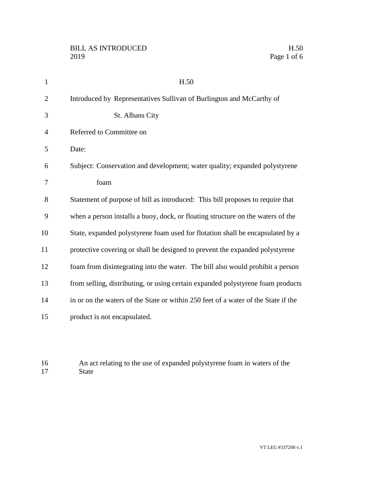| $\mathbf{1}$   | H.50                                                                               |
|----------------|------------------------------------------------------------------------------------|
| $\overline{2}$ | Introduced by Representatives Sullivan of Burlington and McCarthy of               |
| 3              | St. Albans City                                                                    |
| 4              | Referred to Committee on                                                           |
| 5              | Date:                                                                              |
| 6              | Subject: Conservation and development; water quality; expanded polystyrene         |
| 7              | foam                                                                               |
| 8              | Statement of purpose of bill as introduced: This bill proposes to require that     |
| 9              | when a person installs a buoy, dock, or floating structure on the waters of the    |
| 10             | State, expanded polystyrene foam used for flotation shall be encapsulated by a     |
| 11             | protective covering or shall be designed to prevent the expanded polystyrene       |
| 12             | foam from disintegrating into the water. The bill also would prohibit a person     |
| 13             | from selling, distributing, or using certain expanded polystyrene foam products    |
| 14             | in or on the waters of the State or within 250 feet of a water of the State if the |
| 15             | product is not encapsulated.                                                       |
|                |                                                                                    |

16 An act relating to the use of expanded polystyrene foam in waters of the 17 State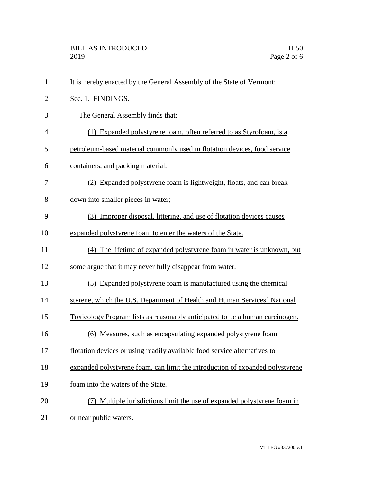| 1              | It is hereby enacted by the General Assembly of the State of Vermont:         |
|----------------|-------------------------------------------------------------------------------|
| $\overline{c}$ | Sec. 1. FINDINGS.                                                             |
| 3              | The General Assembly finds that:                                              |
| 4              | (1) Expanded polystyrene foam, often referred to as Styrofoam, is a           |
| 5              | petroleum-based material commonly used in flotation devices, food service     |
| 6              | containers, and packing material.                                             |
| 7              | (2) Expanded polystyrene foam is lightweight, floats, and can break           |
| 8              | down into smaller pieces in water;                                            |
| 9              | (3) Improper disposal, littering, and use of flotation devices causes         |
| 10             | expanded polystyrene foam to enter the waters of the State.                   |
| 11             | (4) The lifetime of expanded polystyrene foam in water is unknown, but        |
| 12             | some argue that it may never fully disappear from water.                      |
| 13             | (5) Expanded polystyrene foam is manufactured using the chemical              |
| 14             | styrene, which the U.S. Department of Health and Human Services' National     |
| 15             | Toxicology Program lists as reasonably anticipated to be a human carcinogen.  |
| 16             | (6) Measures, such as encapsulating expanded polystyrene foam                 |
| 17             | flotation devices or using readily available food service alternatives to     |
| 18             | expanded polystyrene foam, can limit the introduction of expanded polystyrene |
| 19             | foam into the waters of the State.                                            |
| 20             | Multiple jurisdictions limit the use of expanded polystyrene foam in          |
| 21             | or near public waters.                                                        |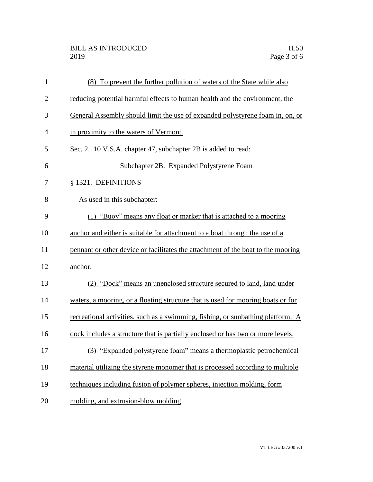## BILL AS INTRODUCED H.50<br>2019 Page 3 of 6

| $\mathbf{1}$   | (8) To prevent the further pollution of waters of the State while also           |
|----------------|----------------------------------------------------------------------------------|
| $\overline{2}$ | reducing potential harmful effects to human health and the environment, the      |
| 3              | General Assembly should limit the use of expanded polystyrene foam in, on, or    |
| $\overline{4}$ | in proximity to the waters of Vermont.                                           |
| 5              | Sec. 2. 10 V.S.A. chapter 47, subchapter 2B is added to read:                    |
| 6              | Subchapter 2B. Expanded Polystyrene Foam                                         |
| 7              | § 1321. DEFINITIONS                                                              |
| 8              | As used in this subchapter:                                                      |
| 9              | (1) "Buoy" means any float or marker that is attached to a mooring               |
| 10             | anchor and either is suitable for attachment to a boat through the use of a      |
| 11             | pennant or other device or facilitates the attachment of the boat to the mooring |
| 12             | anchor.                                                                          |
| 13             | (2) "Dock" means an unenclosed structure secured to land, land under             |
| 14             | waters, a mooring, or a floating structure that is used for mooring boats or for |
| 15             | recreational activities, such as a swimming, fishing, or sunbathing platform. A  |
| 16             | dock includes a structure that is partially enclosed or has two or more levels.  |
| 17             | (3) "Expanded polystyrene foam" means a thermoplastic petrochemical              |
| 18             | material utilizing the styrene monomer that is processed according to multiple   |
| 19             | techniques including fusion of polymer spheres, injection molding, form          |
| 20             | molding, and extrusion-blow molding                                              |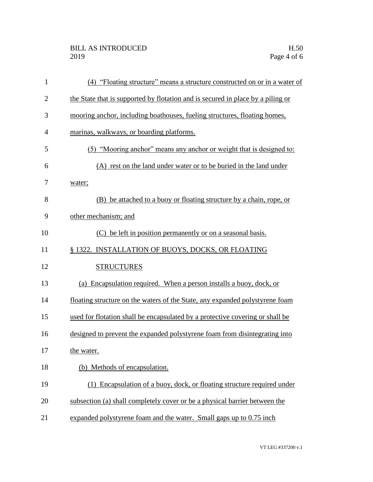## BILL AS INTRODUCED H.50<br>2019 Page 4 of 6

| $\mathbf{1}$ | (4) "Floating structure" means a structure constructed on or in a water of      |
|--------------|---------------------------------------------------------------------------------|
| $\mathbf{2}$ | the State that is supported by flotation and is secured in place by a piling or |
| 3            | mooring anchor, including boathouses, fueling structures, floating homes,       |
| 4            | marinas, walkways, or boarding platforms.                                       |
| 5            | (5) "Mooring anchor" means any anchor or weight that is designed to:            |
| 6            | (A) rest on the land under water or to be buried in the land under              |
| 7            | water;                                                                          |
| 8            | (B) be attached to a buoy or floating structure by a chain, rope, or            |
| 9            | other mechanism; and                                                            |
| 10           | (C) be left in position permanently or on a seasonal basis.                     |
| 11           | § 1322. INSTALLATION OF BUOYS, DOCKS, OR FLOATING                               |
| 12           | <b>STRUCTURES</b>                                                               |
| 13           | (a) Encapsulation required. When a person installs a buoy, dock, or             |
| 14           | floating structure on the waters of the State, any expanded polystyrene foam    |
| 15           | used for flotation shall be encapsulated by a protective covering or shall be   |
| 16           | designed to prevent the expanded polystyrene foam from disintegrating into      |
| 17           | the water.                                                                      |
| 18           | (b) Methods of encapsulation.                                                   |
| 19           | (1) Encapsulation of a buoy, dock, or floating structure required under         |
| 20           | subsection (a) shall completely cover or be a physical barrier between the      |
| 21           | expanded polystyrene foam and the water. Small gaps up to 0.75 inch             |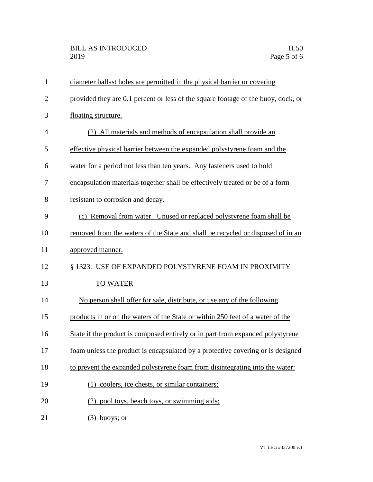| $\mathbf{1}$   | diameter ballast holes are permitted in the physical barrier or covering          |
|----------------|-----------------------------------------------------------------------------------|
| $\overline{2}$ | provided they are 0.1 percent or less of the square footage of the buoy, dock, or |
| 3              | floating structure.                                                               |
| 4              | (2) All materials and methods of encapsulation shall provide an                   |
| 5              | effective physical barrier between the expanded polystyrene foam and the          |
| 6              | water for a period not less than ten years. Any fasteners used to hold            |
| 7              | encapsulation materials together shall be effectively treated or be of a form     |
| 8              | resistant to corrosion and decay.                                                 |
| 9              | (c) Removal from water. Unused or replaced polystyrene foam shall be              |
| 10             | removed from the waters of the State and shall be recycled or disposed of in an   |
| 11             | approved manner.                                                                  |
| 12             | § 1323. USE OF EXPANDED POLYSTYRENE FOAM IN PROXIMITY                             |
| 13             | <b>TO WATER</b>                                                                   |
| 14             | No person shall offer for sale, distribute, or use any of the following           |
| 15             | products in or on the waters of the State or within 250 feet of a water of the    |
| 16             | State if the product is composed entirely or in part from expanded polystyrene    |
| 17             | foam unless the product is encapsulated by a protective covering or is designed   |
| 18             | to prevent the expanded polystyrene foam from disintegrating into the water:      |
| 19             | (1) coolers, ice chests, or similar containers;                                   |
| 20             | (2) pool toys, beach toys, or swimming aids;                                      |
| 21             | buoys; or<br>(3)                                                                  |